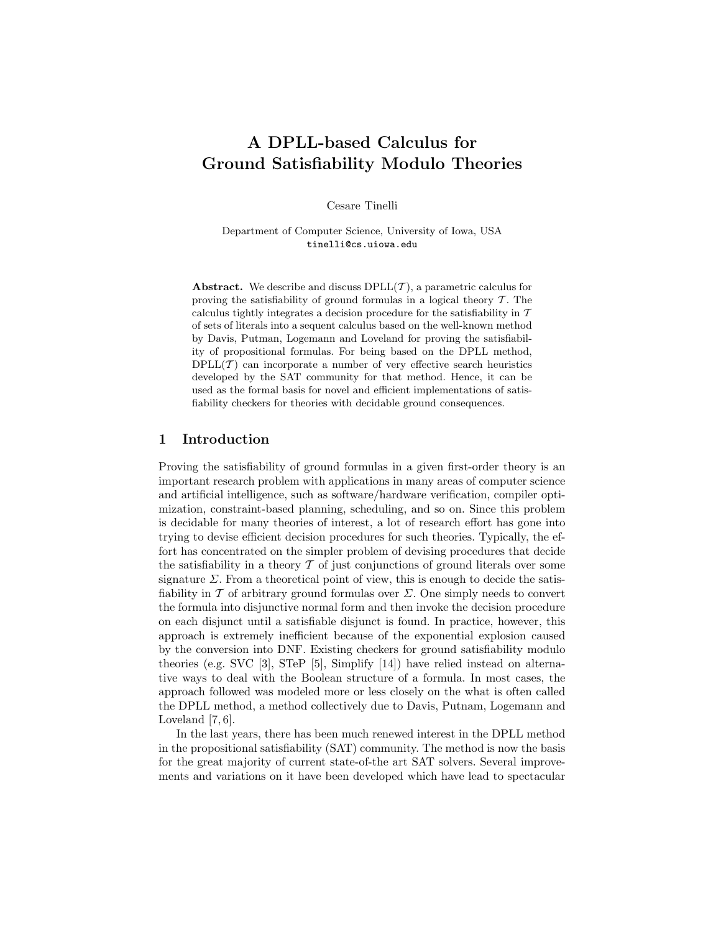# A DPLL-based Calculus for Ground Satisfiability Modulo Theories

Cesare Tinelli

Department of Computer Science, University of Iowa, USA tinelli@cs.uiowa.edu

**Abstract.** We describe and discuss  $DPLL(\mathcal{T})$ , a parametric calculus for proving the satisfiability of ground formulas in a logical theory  $\mathcal T$ . The calculus tightly integrates a decision procedure for the satisfiability in  $T$ of sets of literals into a sequent calculus based on the well-known method by Davis, Putman, Logemann and Loveland for proving the satisfiability of propositional formulas. For being based on the DPLL method,  $DPLL(\mathcal{T})$  can incorporate a number of very effective search heuristics developed by the SAT community for that method. Hence, it can be used as the formal basis for novel and efficient implementations of satisfiability checkers for theories with decidable ground consequences.

# 1 Introduction

Proving the satisfiability of ground formulas in a given first-order theory is an important research problem with applications in many areas of computer science and artificial intelligence, such as software/hardware verification, compiler optimization, constraint-based planning, scheduling, and so on. Since this problem is decidable for many theories of interest, a lot of research effort has gone into trying to devise efficient decision procedures for such theories. Typically, the effort has concentrated on the simpler problem of devising procedures that decide the satisfiability in a theory  $\mathcal T$  of just conjunctions of ground literals over some signature  $\Sigma$ . From a theoretical point of view, this is enough to decide the satisfiability in  $\mathcal T$  of arbitrary ground formulas over  $\Sigma$ . One simply needs to convert the formula into disjunctive normal form and then invoke the decision procedure on each disjunct until a satisfiable disjunct is found. In practice, however, this approach is extremely inefficient because of the exponential explosion caused by the conversion into DNF. Existing checkers for ground satisfiability modulo theories (e.g. SVC [3], STeP [5], Simplify [14]) have relied instead on alternative ways to deal with the Boolean structure of a formula. In most cases, the approach followed was modeled more or less closely on the what is often called the DPLL method, a method collectively due to Davis, Putnam, Logemann and Loveland [7, 6].

In the last years, there has been much renewed interest in the DPLL method in the propositional satisfiability (SAT) community. The method is now the basis for the great majority of current state-of-the art SAT solvers. Several improvements and variations on it have been developed which have lead to spectacular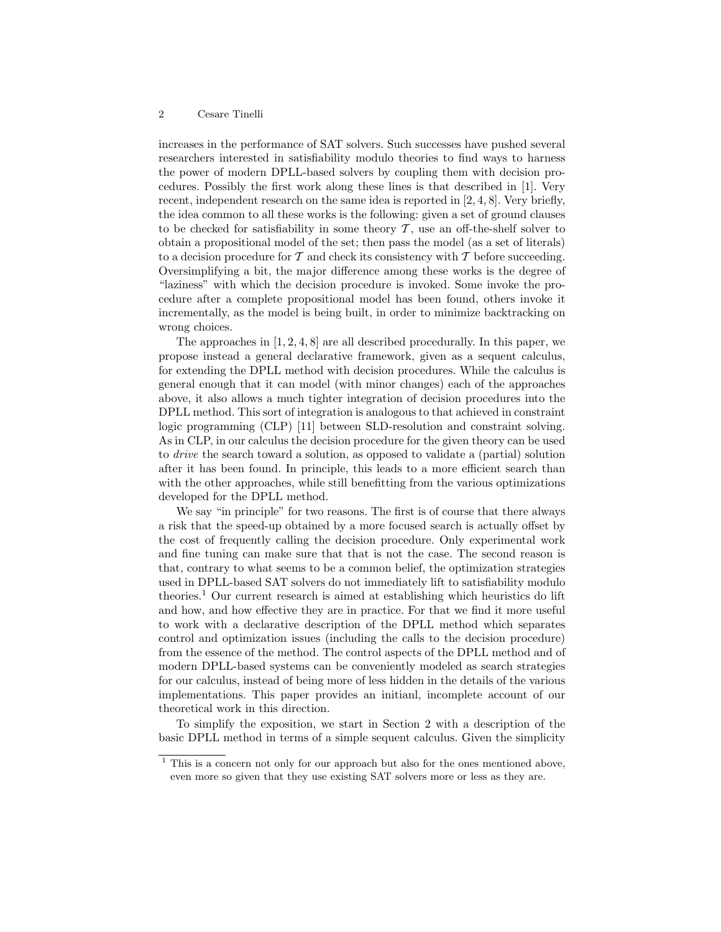#### 2 Cesare Tinelli

increases in the performance of SAT solvers. Such successes have pushed several researchers interested in satisfiability modulo theories to find ways to harness the power of modern DPLL-based solvers by coupling them with decision procedures. Possibly the first work along these lines is that described in [1]. Very recent, independent research on the same idea is reported in [2, 4, 8]. Very briefly, the idea common to all these works is the following: given a set of ground clauses to be checked for satisfiability in some theory  $\mathcal T$ , use an off-the-shelf solver to obtain a propositional model of the set; then pass the model (as a set of literals) to a decision procedure for  $\mathcal T$  and check its consistency with  $\mathcal T$  before succeeding. Oversimplifying a bit, the major difference among these works is the degree of "laziness" with which the decision procedure is invoked. Some invoke the procedure after a complete propositional model has been found, others invoke it incrementally, as the model is being built, in order to minimize backtracking on wrong choices.

The approaches in [1, 2, 4, 8] are all described procedurally. In this paper, we propose instead a general declarative framework, given as a sequent calculus, for extending the DPLL method with decision procedures. While the calculus is general enough that it can model (with minor changes) each of the approaches above, it also allows a much tighter integration of decision procedures into the DPLL method. This sort of integration is analogous to that achieved in constraint logic programming (CLP) [11] between SLD-resolution and constraint solving. As in CLP, in our calculus the decision procedure for the given theory can be used to drive the search toward a solution, as opposed to validate a (partial) solution after it has been found. In principle, this leads to a more efficient search than with the other approaches, while still benefitting from the various optimizations developed for the DPLL method.

We say "in principle" for two reasons. The first is of course that there always a risk that the speed-up obtained by a more focused search is actually offset by the cost of frequently calling the decision procedure. Only experimental work and fine tuning can make sure that that is not the case. The second reason is that, contrary to what seems to be a common belief, the optimization strategies used in DPLL-based SAT solvers do not immediately lift to satisfiability modulo theories.<sup>1</sup> Our current research is aimed at establishing which heuristics do lift and how, and how effective they are in practice. For that we find it more useful to work with a declarative description of the DPLL method which separates control and optimization issues (including the calls to the decision procedure) from the essence of the method. The control aspects of the DPLL method and of modern DPLL-based systems can be conveniently modeled as search strategies for our calculus, instead of being more of less hidden in the details of the various implementations. This paper provides an initianl, incomplete account of our theoretical work in this direction.

To simplify the exposition, we start in Section 2 with a description of the basic DPLL method in terms of a simple sequent calculus. Given the simplicity

 $1$  This is a concern not only for our approach but also for the ones mentioned above, even more so given that they use existing SAT solvers more or less as they are.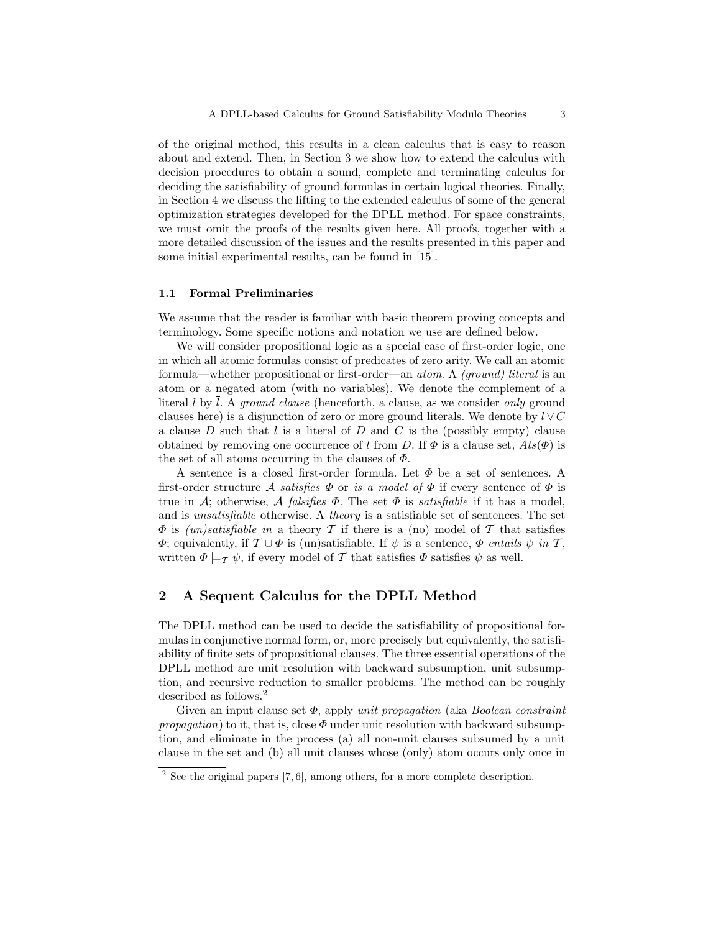of the original method, this results in a clean calculus that is easy to reason about and extend. Then, in Section 3 we show how to extend the calculus with decision procedures to obtain a sound, complete and terminating calculus for deciding the satisfiability of ground formulas in certain logical theories. Finally, in Section 4 we discuss the lifting to the extended calculus of some of the general optimization strategies developed for the DPLL method. For space constraints, we must omit the proofs of the results given here. All proofs, together with a more detailed discussion of the issues and the results presented in this paper and some initial experimental results, can be found in [15].

### 1.1 Formal Preliminaries

We assume that the reader is familiar with basic theorem proving concepts and terminology. Some specific notions and notation we use are defined below.

We will consider propositional logic as a special case of first-order logic, one in which all atomic formulas consist of predicates of zero arity. We call an atomic formula—whether propositional or first-order—an atom. A (ground) literal is an atom or a negated atom (with no variables). We denote the complement of a literal l by  $\overline{l}$ . A ground clause (henceforth, a clause, as we consider only ground clauses here) is a disjunction of zero or more ground literals. We denote by  $\ell \vee C$ a clause D such that l is a literal of D and C is the (possibly empty) clause obtained by removing one occurrence of l from D. If  $\Phi$  is a clause set,  $Ats(\Phi)$  is the set of all atoms occurring in the clauses of  $\Phi$ .

A sentence is a closed first-order formula. Let  $\Phi$  be a set of sentences. A first-order structure A satisfies  $\Phi$  or is a model of  $\Phi$  if every sentence of  $\Phi$  is true in A; otherwise, A falsifies  $\Phi$ . The set  $\Phi$  is *satisfiable* if it has a model, and is unsatisfiable otherwise. A theory is a satisfiable set of sentences. The set  $\Phi$  is *(un)satisfiable in a theory T* if there is a (no) model of T that satisfies  $\Phi$ ; equivalently, if  $\mathcal{T} \cup \Phi$  is (un)satisfiable. If  $\psi$  is a sentence,  $\Phi$  entails  $\psi$  in  $\mathcal{T}$ , written  $\Phi \models_{\mathcal{T}} \psi$ , if every model of  $\mathcal{T}$  that satisfies  $\Phi$  satisfies  $\psi$  as well.

# 2 A Sequent Calculus for the DPLL Method

The DPLL method can be used to decide the satisfiability of propositional formulas in conjunctive normal form, or, more precisely but equivalently, the satisfiability of finite sets of propositional clauses. The three essential operations of the DPLL method are unit resolution with backward subsumption, unit subsumption, and recursive reduction to smaller problems. The method can be roughly described as follows.<sup>2</sup>

Given an input clause set  $\Phi$ , apply unit propagation (aka Boolean constraint propagation) to it, that is, close  $\Phi$  under unit resolution with backward subsumption, and eliminate in the process (a) all non-unit clauses subsumed by a unit clause in the set and (b) all unit clauses whose (only) atom occurs only once in

 $2$  See the original papers [7, 6], among others, for a more complete description.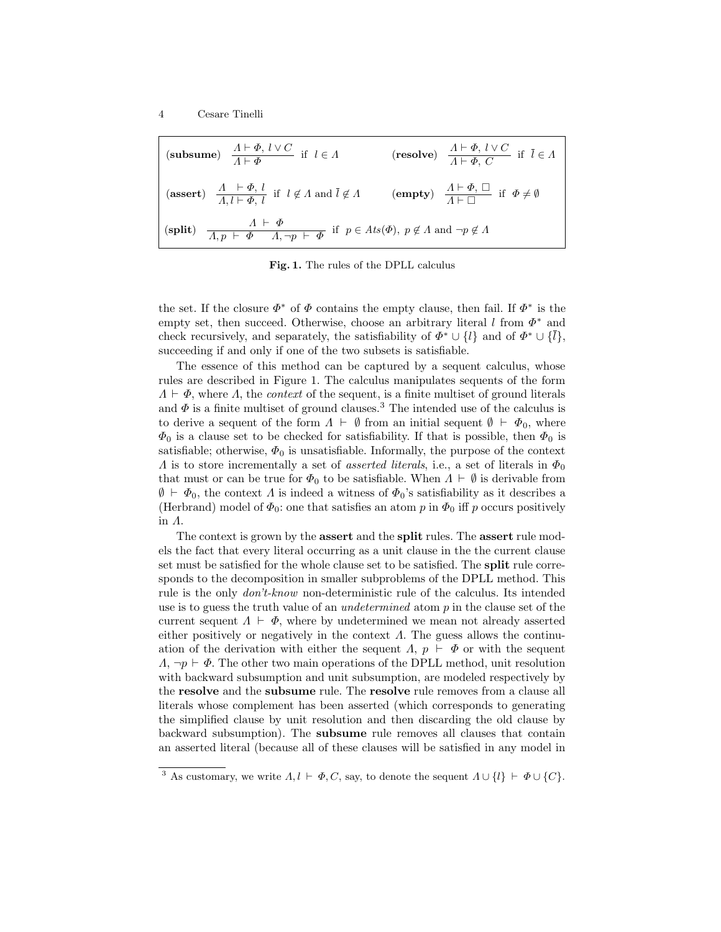| (subsume) $\frac{\Lambda \vdash \Phi, \ l \lor C}{\Lambda \vdash \Phi}$ if $l \in \Lambda$                                                                                                                           |  | (resolve) $\frac{A \vdash \Phi, l \lor C}{A \vdash \Phi, C}$ if $\overline{l} \in A$ |
|----------------------------------------------------------------------------------------------------------------------------------------------------------------------------------------------------------------------|--|--------------------------------------------------------------------------------------|
| (assert) $\frac{\Lambda \vdash \Phi, l}{\Lambda, l \vdash \Phi, l}$ if $l \notin \Lambda$ and $\overline{l} \notin \Lambda$ (empty) $\frac{\Lambda \vdash \Phi, \Box}{\Lambda \vdash \Box}$ if $\Phi \neq \emptyset$ |  |                                                                                      |
| (split) $\frac{\Lambda + \Phi}{\Lambda, p + \Phi - \Lambda, \neg p + \Phi}$ if $p \in Ats(\Phi)$ , $p \notin \Lambda$ and $\neg p \notin \Lambda$                                                                    |  |                                                                                      |

Fig. 1. The rules of the DPLL calculus

the set. If the closure  $\Phi^*$  of  $\Phi$  contains the empty clause, then fail. If  $\Phi^*$  is the empty set, then succeed. Otherwise, choose an arbitrary literal  $l$  from  $\Phi^*$  and check recursively, and separately, the satisfiability of  $\Phi^* \cup \{l\}$  and of  $\Phi^* \cup \{l\}$ , succeeding if and only if one of the two subsets is satisfiable.

The essence of this method can be captured by a sequent calculus, whose rules are described in Figure 1. The calculus manipulates sequents of the form  $\Lambda \vdash \Phi$ , where  $\Lambda$ , the *context* of the sequent, is a finite multiset of ground literals and  $\Phi$  is a finite multiset of ground clauses.<sup>3</sup> The intended use of the calculus is to derive a sequent of the form  $\Lambda \vdash \emptyset$  from an initial sequent  $\emptyset \vdash \Phi_0$ , where  $\Phi_0$  is a clause set to be checked for satisfiability. If that is possible, then  $\Phi_0$  is satisfiable; otherwise,  $\Phi_0$  is unsatisfiable. Informally, the purpose of the context  $\Lambda$  is to store incrementally a set of asserted literals, i.e., a set of literals in  $\Phi_0$ that must or can be true for  $\Phi_0$  to be satisfiable. When  $\Lambda \vdash \emptyset$  is derivable from  $\emptyset \vdash \Phi_0$ , the context A is indeed a witness of  $\Phi_0$ 's satisfiability as it describes a (Herbrand) model of  $\Phi_0$ : one that satisfies an atom p in  $\Phi_0$  iff p occurs positively in  $\Lambda$ .

The context is grown by the **assert** and the **split** rules. The **assert** rule models the fact that every literal occurring as a unit clause in the the current clause set must be satisfied for the whole clause set to be satisfied. The split rule corresponds to the decomposition in smaller subproblems of the DPLL method. This rule is the only don't-know non-deterministic rule of the calculus. Its intended use is to guess the truth value of an *undetermined* atom  $p$  in the clause set of the current sequent  $\Lambda \vdash \Phi$ , where by undetermined we mean not already asserted either positively or negatively in the context  $\Lambda$ . The guess allows the continuation of the derivation with either the sequent  $\Lambda$ ,  $p \vdash \Phi$  or with the sequent  $\Lambda$ ,  $\neg p \vdash \Phi$ . The other two main operations of the DPLL method, unit resolution with backward subsumption and unit subsumption, are modeled respectively by the resolve and the subsume rule. The resolve rule removes from a clause all literals whose complement has been asserted (which corresponds to generating the simplified clause by unit resolution and then discarding the old clause by backward subsumption). The subsume rule removes all clauses that contain an asserted literal (because all of these clauses will be satisfied in any model in

<sup>&</sup>lt;sup>3</sup> As customary, we write  $\Lambda, l \vdash \Phi, C$ , say, to denote the sequent  $\Lambda \cup \{l\} \vdash \Phi \cup \{C\}$ .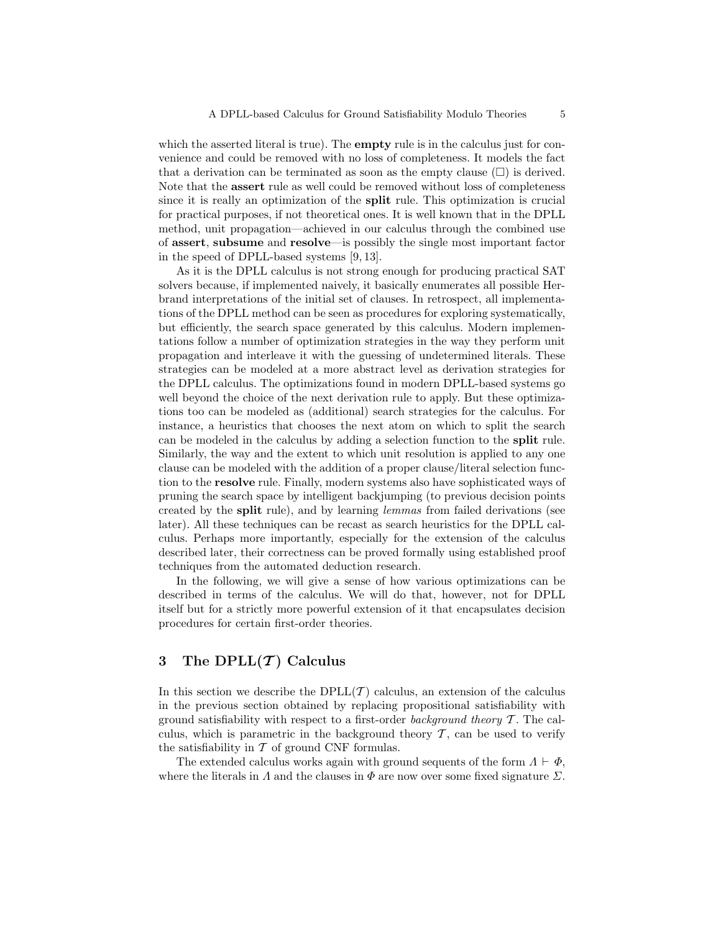which the asserted literal is true). The **empty** rule is in the calculus just for convenience and could be removed with no loss of completeness. It models the fact that a derivation can be terminated as soon as the empty clause  $(\square)$  is derived. Note that the assert rule as well could be removed without loss of completeness since it is really an optimization of the split rule. This optimization is crucial for practical purposes, if not theoretical ones. It is well known that in the DPLL method, unit propagation—achieved in our calculus through the combined use of assert, subsume and resolve—is possibly the single most important factor in the speed of DPLL-based systems [9, 13].

As it is the DPLL calculus is not strong enough for producing practical SAT solvers because, if implemented naively, it basically enumerates all possible Herbrand interpretations of the initial set of clauses. In retrospect, all implementations of the DPLL method can be seen as procedures for exploring systematically, but efficiently, the search space generated by this calculus. Modern implementations follow a number of optimization strategies in the way they perform unit propagation and interleave it with the guessing of undetermined literals. These strategies can be modeled at a more abstract level as derivation strategies for the DPLL calculus. The optimizations found in modern DPLL-based systems go well beyond the choice of the next derivation rule to apply. But these optimizations too can be modeled as (additional) search strategies for the calculus. For instance, a heuristics that chooses the next atom on which to split the search can be modeled in the calculus by adding a selection function to the split rule. Similarly, the way and the extent to which unit resolution is applied to any one clause can be modeled with the addition of a proper clause/literal selection function to the resolve rule. Finally, modern systems also have sophisticated ways of pruning the search space by intelligent backjumping (to previous decision points created by the split rule), and by learning lemmas from failed derivations (see later). All these techniques can be recast as search heuristics for the DPLL calculus. Perhaps more importantly, especially for the extension of the calculus described later, their correctness can be proved formally using established proof techniques from the automated deduction research.

In the following, we will give a sense of how various optimizations can be described in terms of the calculus. We will do that, however, not for DPLL itself but for a strictly more powerful extension of it that encapsulates decision procedures for certain first-order theories.

# 3 The DPLL $(\mathcal{T})$  Calculus

In this section we describe the  $DPLL(\mathcal{T})$  calculus, an extension of the calculus in the previous section obtained by replacing propositional satisfiability with ground satisfiability with respect to a first-order background theory  $\mathcal T$ . The calculus, which is parametric in the background theory  $\mathcal T$ , can be used to verify the satisfiability in  $\mathcal T$  of ground CNF formulas.

The extended calculus works again with ground sequents of the form  $\Lambda \vdash \Phi$ , where the literals in  $\Lambda$  and the clauses in  $\Phi$  are now over some fixed signature  $\Sigma$ .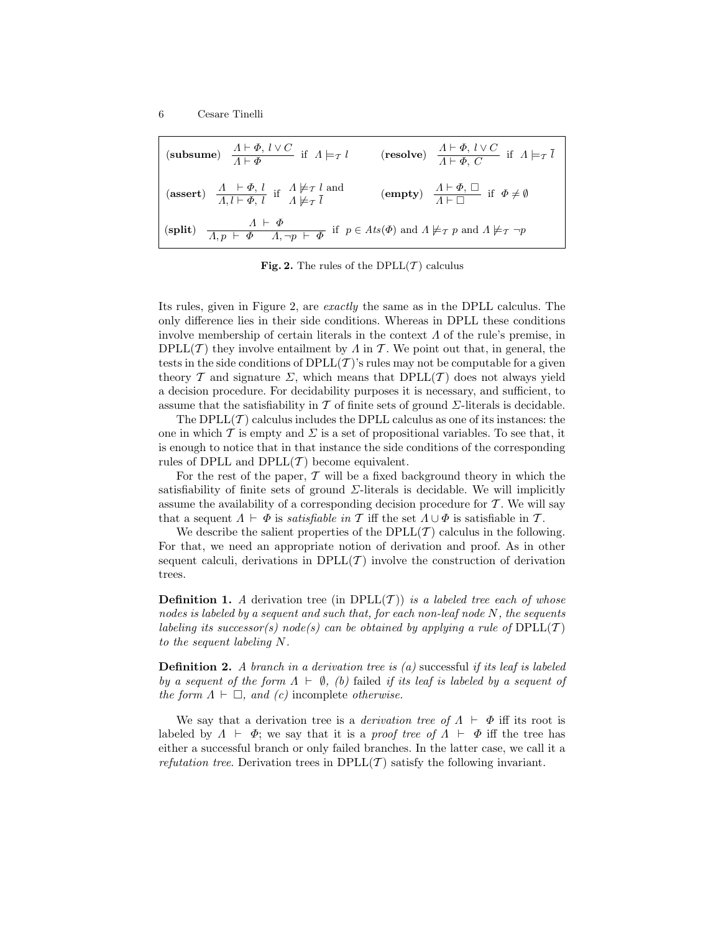| (subsume) $\frac{\Lambda \vdash \Phi, l \lor C}{\Lambda \vdash \Phi}$ if $\Lambda \models_{\mathcal{T}} l$ (resolve) $\frac{\Lambda \vdash \Phi, l \lor C}{\Lambda \vdash \Phi, C}$ if $\Lambda \models_{\mathcal{T}} \overline{l}$ |  |                                                                                                              |
|-------------------------------------------------------------------------------------------------------------------------------------------------------------------------------------------------------------------------------------|--|--------------------------------------------------------------------------------------------------------------|
| (assert) $\frac{\Lambda + \Phi, l}{\Lambda, l + \Phi, l}$ if $\frac{\Lambda \not\models_{\mathcal{I}} l}{\Lambda \not\models_{\mathcal{I}} l}$                                                                                      |  | $(\text{empty}) \quad \frac{\Lambda \vdash \Phi, \Box}{\Lambda \vdash \Box} \text{ if } \Phi \neq \emptyset$ |
| (split) $\frac{\Lambda + \Phi}{\Lambda, p + \Phi - \Lambda, \neg p + \Phi}$ if $p \in Ats(\Phi)$ and $\Lambda \not\models_{\mathcal{T}} p$ and $\Lambda \not\models_{\mathcal{T}} \neg p$                                           |  |                                                                                                              |

Fig. 2. The rules of the  $DPLL(\mathcal{T})$  calculus

Its rules, given in Figure 2, are exactly the same as in the DPLL calculus. The only difference lies in their side conditions. Whereas in DPLL these conditions involve membership of certain literals in the context  $\Lambda$  of the rule's premise, in  $DPLL(\mathcal{T})$  they involve entailment by  $\Lambda$  in  $\mathcal{T}$ . We point out that, in general, the tests in the side conditions of  $DPLL(\mathcal{T})$ 's rules may not be computable for a given theory T and signature  $\Sigma$ , which means that  $DPLL(\mathcal{T})$  does not always yield a decision procedure. For decidability purposes it is necessary, and sufficient, to assume that the satisfiability in  $\mathcal T$  of finite sets of ground  $\mathcal L$ -literals is decidable.

The  $DPLL(\mathcal{T})$  calculus includes the DPLL calculus as one of its instances: the one in which  $\mathcal T$  is empty and  $\Sigma$  is a set of propositional variables. To see that, it is enough to notice that in that instance the side conditions of the corresponding rules of DPLL and  $DPLL(\mathcal{T})$  become equivalent.

For the rest of the paper,  $\mathcal T$  will be a fixed background theory in which the satisfiability of finite sets of ground  $\Sigma$ -literals is decidable. We will implicitly assume the availability of a corresponding decision procedure for  $T$ . We will say that a sequent  $\Lambda \vdash \Phi$  is *satisfiable in* T iff the set  $\Lambda \cup \Phi$  is satisfiable in T.

We describe the salient properties of the  $DPLL(\mathcal{T})$  calculus in the following. For that, we need an appropriate notion of derivation and proof. As in other sequent calculi, derivations in  $DPLL(\mathcal{T})$  involve the construction of derivation trees.

**Definition 1.** A derivation tree (in  $DPLL(T)$ ) is a labeled tree each of whose nodes is labeled by a sequent and such that, for each non-leaf node  $N$ , the sequents labeling its successor(s) node(s) can be obtained by applying a rule of  $DPLL(\mathcal{T})$ to the sequent labeling N.

**Definition 2.** A branch in a derivation tree is  $(a)$  successful if its leaf is labeled by a sequent of the form  $\Lambda \vdash \emptyset$ , (b) failed if its leaf is labeled by a sequent of the form  $\Lambda \vdash \Box$ , and (c) incomplete otherwise.

We say that a derivation tree is a *derivation tree of*  $\Lambda \vdash \Phi$  iff its root is labeled by  $\Lambda \vdash \Phi$ ; we say that it is a proof tree of  $\Lambda \vdash \Phi$  iff the tree has either a successful branch or only failed branches. In the latter case, we call it a refutation tree. Derivation trees in  $DPLL(\mathcal{T})$  satisfy the following invariant.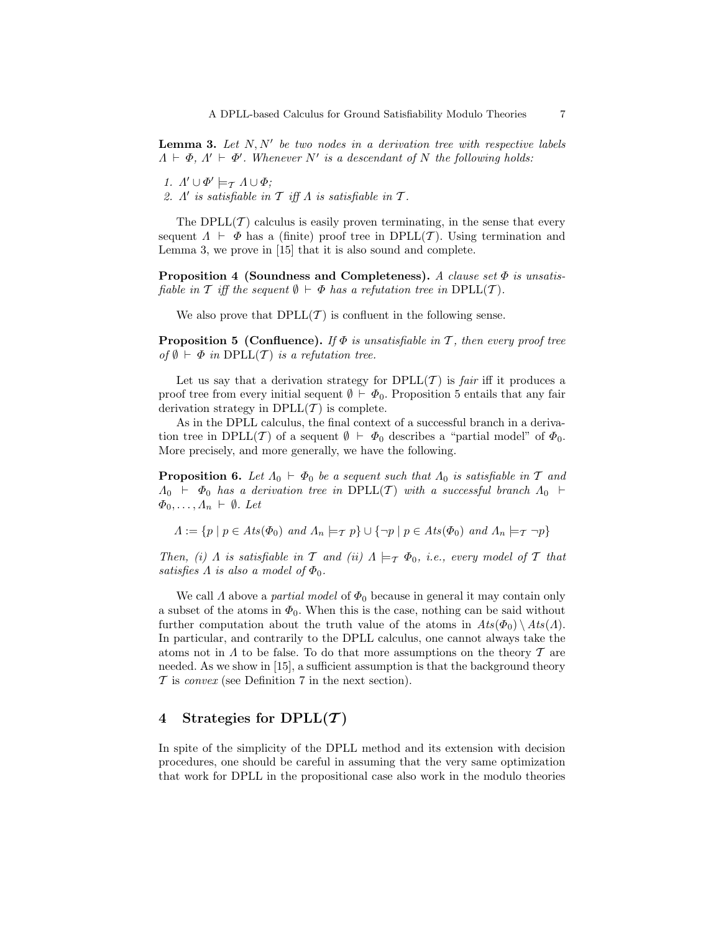**Lemma 3.** Let  $N, N'$  be two nodes in a derivation tree with respective labels  $\Lambda \vdash \Phi$ ,  $\Lambda' \vdash \Phi'$ . Whenever N' is a descendant of N the following holds:

- 1.  $\Lambda' \cup \Phi' \models_{\mathcal{T}} \Lambda \cup \Phi;$
- 2.  $\Lambda'$  is satisfiable in  $\mathcal T$  iff  $\Lambda$  is satisfiable in  $\mathcal T$ .

The DPLL $(\mathcal{T})$  calculus is easily proven terminating, in the sense that every sequent  $\Lambda \vdash \Phi$  has a (finite) proof tree in DPLL(T). Using termination and Lemma 3, we prove in [15] that it is also sound and complete.

**Proposition 4 (Soundness and Completeness).** A clause set  $\Phi$  is unsatisfiable in T iff the sequent  $\emptyset \vdash \Phi$  has a refutation tree in DPLL(T).

We also prove that  $DPLL(\mathcal{T})$  is confluent in the following sense.

**Proposition 5 (Confluence).** If  $\Phi$  is unsatisfiable in T, then every proof tree of  $\emptyset \vdash \Phi$  in DPLL(T) is a refutation tree.

Let us say that a derivation strategy for  $DPLL(\mathcal{T})$  is fair iff it produces a proof tree from every initial sequent  $\emptyset \vdash \Phi_0$ . Proposition 5 entails that any fair derivation strategy in  $DPLL(\mathcal{T})$  is complete.

As in the DPLL calculus, the final context of a successful branch in a derivation tree in DPLL(T) of a sequent  $\emptyset \vdash \Phi_0$  describes a "partial model" of  $\Phi_0$ . More precisely, and more generally, we have the following.

**Proposition 6.** Let  $\Lambda_0 \vdash \Phi_0$  be a sequent such that  $\Lambda_0$  is satisfiable in T and  $\Lambda_0$   $\vdash$   $\Phi_0$  has a derivation tree in DPLL(T) with a successful branch  $\Lambda_0$   $\vdash$  $\Phi_0, \ldots, \Lambda_n \vdash \emptyset$ . Let

 $\Lambda := \{p \mid p \in Ats(\Phi_0) \text{ and } \Lambda_n \models_{\mathcal{T}} p \} \cup \{\neg p \mid p \in Ats(\Phi_0) \text{ and } \Lambda_n \models_{\mathcal{T}} \neg p \}$ 

Then, (i)  $\Lambda$  is satisfiable in  $\mathcal T$  and (ii)  $\Lambda \models_{\mathcal T} \Phi_0$ , i.e., every model of  $\mathcal T$  that satisfies  $\Lambda$  is also a model of  $\Phi_0$ .

We call  $\Lambda$  above a *partial model* of  $\Phi_0$  because in general it may contain only a subset of the atoms in  $\Phi_0$ . When this is the case, nothing can be said without further computation about the truth value of the atoms in  $Ats(\Phi_0) \setminus Ats(\Lambda)$ . In particular, and contrarily to the DPLL calculus, one cannot always take the atoms not in  $\Lambda$  to be false. To do that more assumptions on the theory  $\mathcal T$  are needed. As we show in [15], a sufficient assumption is that the background theory  $\mathcal T$  is *convex* (see Definition 7 in the next section).

# 4 Strategies for  $DPLL(\mathcal{T})$

In spite of the simplicity of the DPLL method and its extension with decision procedures, one should be careful in assuming that the very same optimization that work for DPLL in the propositional case also work in the modulo theories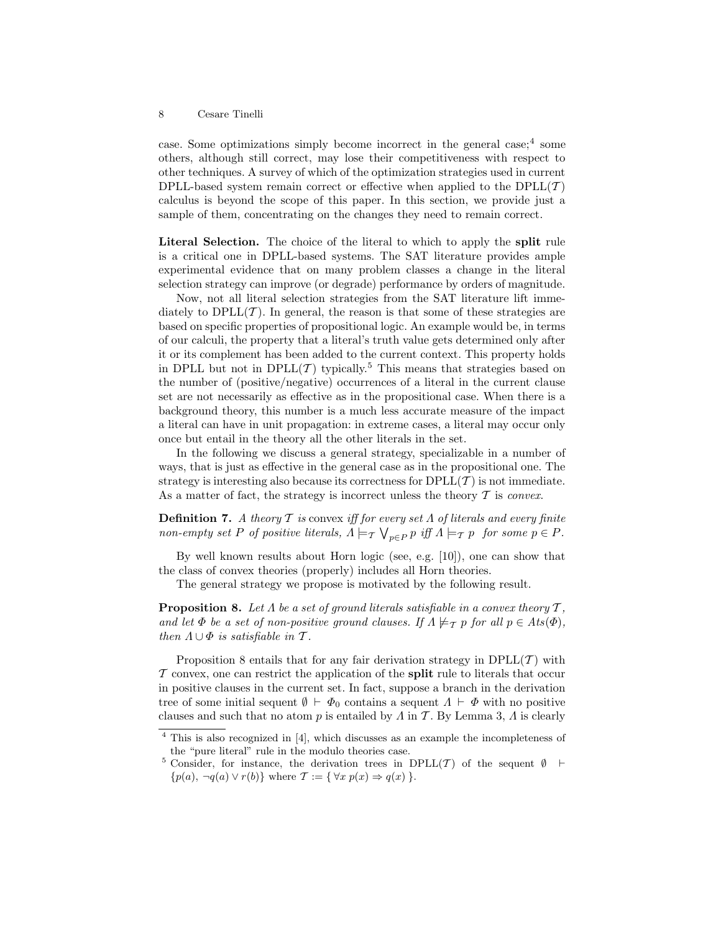### 8 Cesare Tinelli

case. Some optimizations simply become incorrect in the general case;<sup>4</sup> some others, although still correct, may lose their competitiveness with respect to other techniques. A survey of which of the optimization strategies used in current DPLL-based system remain correct or effective when applied to the  $DPLL(\mathcal{T})$ calculus is beyond the scope of this paper. In this section, we provide just a sample of them, concentrating on the changes they need to remain correct.

Literal Selection. The choice of the literal to which to apply the split rule is a critical one in DPLL-based systems. The SAT literature provides ample experimental evidence that on many problem classes a change in the literal selection strategy can improve (or degrade) performance by orders of magnitude.

Now, not all literal selection strategies from the SAT literature lift immediately to  $DPLL(\mathcal{T})$ . In general, the reason is that some of these strategies are based on specific properties of propositional logic. An example would be, in terms of our calculi, the property that a literal's truth value gets determined only after it or its complement has been added to the current context. This property holds in DPLL but not in  $DPLL(\mathcal{T})$  typically.<sup>5</sup> This means that strategies based on the number of (positive/negative) occurrences of a literal in the current clause set are not necessarily as effective as in the propositional case. When there is a background theory, this number is a much less accurate measure of the impact a literal can have in unit propagation: in extreme cases, a literal may occur only once but entail in the theory all the other literals in the set.

In the following we discuss a general strategy, specializable in a number of ways, that is just as effective in the general case as in the propositional one. The strategy is interesting also because its correctness for  $DPLL(\mathcal{T})$  is not immediate. As a matter of fact, the strategy is incorrect unless the theory  $\mathcal T$  is convex.

**Definition 7.** A theory  $T$  is convex iff for every set  $\Lambda$  of literals and every finite non-empty set P of positive literals,  $\Lambda \models_{\mathcal{T}} \bigvee_{p \in P} p$  iff  $\Lambda \models_{\mathcal{T}} p$  for some  $p \in P$ .

By well known results about Horn logic (see, e.g. [10]), one can show that the class of convex theories (properly) includes all Horn theories.

The general strategy we propose is motivated by the following result.

**Proposition 8.** Let  $\Lambda$  be a set of ground literals satisfiable in a convex theory  $\mathcal{T}$ , and let  $\Phi$  be a set of non-positive ground clauses. If  $\Lambda \not\models_{\mathcal{T}} p$  for all  $p \in Ats(\Phi)$ , then  $\Lambda \cup \Phi$  is satisfiable in  $\mathcal T$ .

Proposition 8 entails that for any fair derivation strategy in  $DPLL(\mathcal{T})$  with  $\mathcal T$  convex, one can restrict the application of the split rule to literals that occur in positive clauses in the current set. In fact, suppose a branch in the derivation tree of some initial sequent  $\emptyset \vdash \Phi_0$  contains a sequent  $\Lambda \vdash \Phi$  with no positive clauses and such that no atom p is entailed by  $\Lambda$  in T. By Lemma 3,  $\Lambda$  is clearly

<sup>4</sup> This is also recognized in [4], which discusses as an example the incompleteness of the "pure literal" rule in the modulo theories case.

<sup>&</sup>lt;sup>5</sup> Consider, for instance, the derivation trees in  $DPLL(\mathcal{T})$  of the sequent  $\emptyset$   $\vdash$  ${p(a), \neg q(a) \lor r(b)}$  where  $\mathcal{T} := {\forall x \ p(x) \Rightarrow q(x)}.$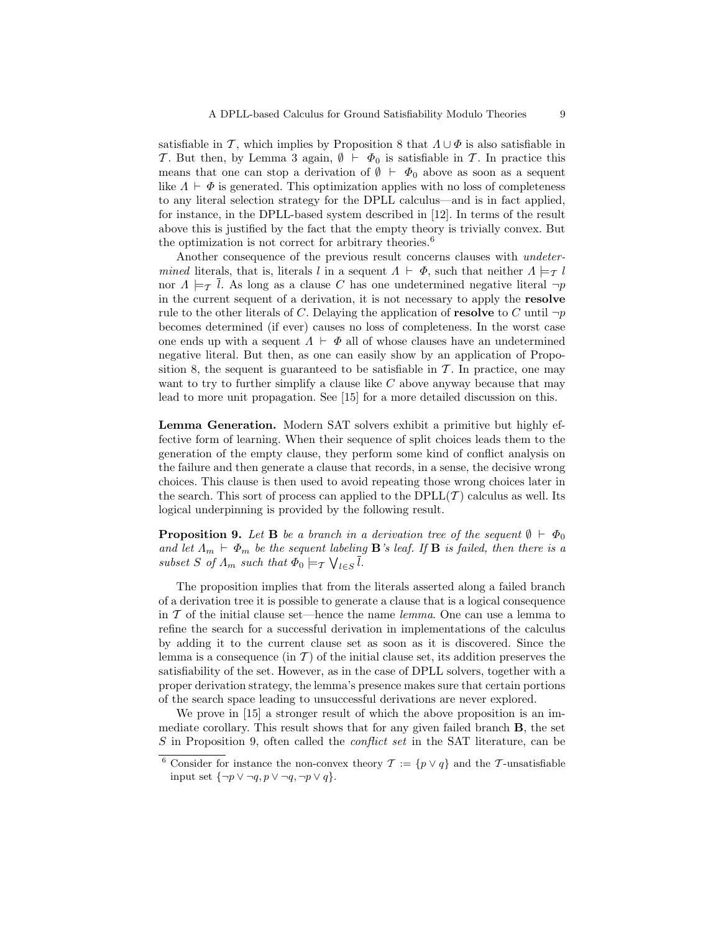satisfiable in T, which implies by Proposition 8 that  $\Lambda \cup \Phi$  is also satisfiable in T. But then, by Lemma 3 again,  $\emptyset \vdash \Phi_0$  is satisfiable in T. In practice this means that one can stop a derivation of  $\emptyset \vdash \Phi_0$  above as soon as a sequent like  $\Lambda \vdash \Phi$  is generated. This optimization applies with no loss of completeness to any literal selection strategy for the DPLL calculus—and is in fact applied, for instance, in the DPLL-based system described in [12]. In terms of the result above this is justified by the fact that the empty theory is trivially convex. But the optimization is not correct for arbitrary theories.<sup>6</sup>

Another consequence of the previous result concerns clauses with undetermined literals, that is, literals l in a sequent  $\Lambda \vdash \Phi$ , such that neither  $\Lambda \models_{\mathcal{I}} l$ nor  $\Lambda \models_{\mathcal{I}} \overline{l}$ . As long as a clause C has one undetermined negative literal  $\neg p$ in the current sequent of a derivation, it is not necessary to apply the resolve rule to the other literals of C. Delaying the application of **resolve** to C until  $\neg p$ becomes determined (if ever) causes no loss of completeness. In the worst case one ends up with a sequent  $\Lambda \vdash \Phi$  all of whose clauses have an undetermined negative literal. But then, as one can easily show by an application of Proposition 8, the sequent is guaranteed to be satisfiable in  $\mathcal T$ . In practice, one may want to try to further simplify a clause like  $C$  above anyway because that may lead to more unit propagation. See [15] for a more detailed discussion on this.

Lemma Generation. Modern SAT solvers exhibit a primitive but highly effective form of learning. When their sequence of split choices leads them to the generation of the empty clause, they perform some kind of conflict analysis on the failure and then generate a clause that records, in a sense, the decisive wrong choices. This clause is then used to avoid repeating those wrong choices later in the search. This sort of process can applied to the  $DPLL(\mathcal{T})$  calculus as well. Its logical underpinning is provided by the following result.

**Proposition 9.** Let **B** be a branch in a derivation tree of the sequent  $\emptyset \vdash \Phi_0$ and let  $\Lambda_m \vdash \Phi_m$  be the sequent labeling **B**'s leaf. If **B** is failed, then there is a subset S of  $\Lambda_m$  such that  $\Phi_0 \models_{\mathcal{T}} \bigvee_{l \in S} l$ .

The proposition implies that from the literals asserted along a failed branch of a derivation tree it is possible to generate a clause that is a logical consequence in  $\mathcal T$  of the initial clause set—hence the name *lemma*. One can use a lemma to refine the search for a successful derivation in implementations of the calculus by adding it to the current clause set as soon as it is discovered. Since the lemma is a consequence (in  $\mathcal{T}$ ) of the initial clause set, its addition preserves the satisfiability of the set. However, as in the case of DPLL solvers, together with a proper derivation strategy, the lemma's presence makes sure that certain portions of the search space leading to unsuccessful derivations are never explored.

We prove in [15] a stronger result of which the above proposition is an immediate corollary. This result shows that for any given failed branch B, the set S in Proposition 9, often called the *conflict set* in the SAT literature, can be

<sup>&</sup>lt;sup>6</sup> Consider for instance the non-convex theory  $\mathcal{T} := \{p \vee q\}$  and the T-unsatisfiable input set  $\{\neg p \lor \neg q, p \lor \neg q, \neg p \lor q\}.$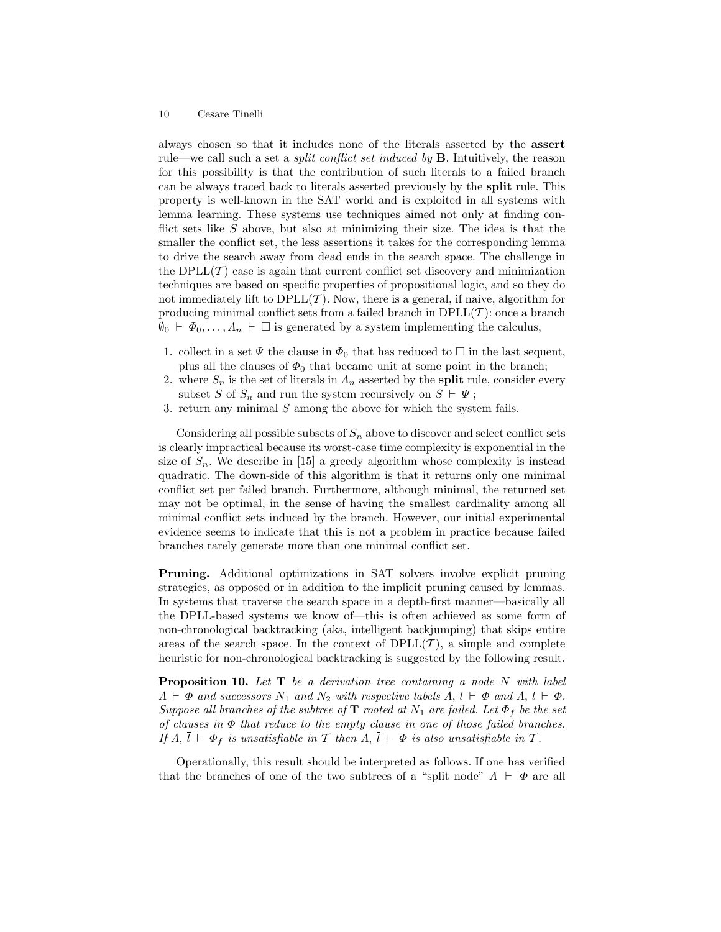always chosen so that it includes none of the literals asserted by the assert rule—we call such a set a *split conflict set induced by* **B**. Intuitively, the reason for this possibility is that the contribution of such literals to a failed branch can be always traced back to literals asserted previously by the split rule. This property is well-known in the SAT world and is exploited in all systems with lemma learning. These systems use techniques aimed not only at finding conflict sets like  $S$  above, but also at minimizing their size. The idea is that the smaller the conflict set, the less assertions it takes for the corresponding lemma to drive the search away from dead ends in the search space. The challenge in the  $DPLL(\mathcal{T})$  case is again that current conflict set discovery and minimization techniques are based on specific properties of propositional logic, and so they do not immediately lift to  $DPLL(\mathcal{T})$ . Now, there is a general, if naive, algorithm for producing minimal conflict sets from a failed branch in  $DPLL(\mathcal{T})$ : once a branch  $\emptyset_0 \vdash \Phi_0, \ldots, \Lambda_n \vdash \Box$  is generated by a system implementing the calculus,

- 1. collect in a set  $\Psi$  the clause in  $\Phi_0$  that has reduced to  $\square$  in the last sequent, plus all the clauses of  $\Phi_0$  that became unit at some point in the branch;
- 2. where  $S_n$  is the set of literals in  $\Lambda_n$  asserted by the **split** rule, consider every subset S of  $S_n$  and run the system recursively on  $S \vdash \Psi$ ;
- 3. return any minimal  $S$  among the above for which the system fails.

Considering all possible subsets of  $S_n$  above to discover and select conflict sets is clearly impractical because its worst-case time complexity is exponential in the size of  $S_n$ . We describe in [15] a greedy algorithm whose complexity is instead quadratic. The down-side of this algorithm is that it returns only one minimal conflict set per failed branch. Furthermore, although minimal, the returned set may not be optimal, in the sense of having the smallest cardinality among all minimal conflict sets induced by the branch. However, our initial experimental evidence seems to indicate that this is not a problem in practice because failed branches rarely generate more than one minimal conflict set.

Pruning. Additional optimizations in SAT solvers involve explicit pruning strategies, as opposed or in addition to the implicit pruning caused by lemmas. In systems that traverse the search space in a depth-first manner—basically all the DPLL-based systems we know of—this is often achieved as some form of non-chronological backtracking (aka, intelligent backjumping) that skips entire areas of the search space. In the context of  $DPLL(\mathcal{T})$ , a simple and complete heuristic for non-chronological backtracking is suggested by the following result.

**Proposition 10.** Let  $T$  be a derivation tree containing a node  $N$  with label  $\Lambda \vdash \Phi$  and successors  $N_1$  and  $N_2$  with respective labels  $\Lambda$ ,  $l \vdash \Phi$  and  $\Lambda$ ,  $\overline{l} \vdash \Phi$ . Suppose all branches of the subtree of  $\bf{T}$  rooted at  $N_1$  are failed. Let  $\Phi_f$  be the set of clauses in  $\Phi$  that reduce to the empty clause in one of those failed branches. If  $\Lambda$ ,  $\overline{l}$   $\vdash \Phi_f$  is unsatisfiable in T then  $\Lambda$ ,  $\overline{l}$   $\vdash \Phi$  is also unsatisfiable in T.

Operationally, this result should be interpreted as follows. If one has verified that the branches of one of the two subtrees of a "split node"  $\Lambda \vdash \Phi$  are all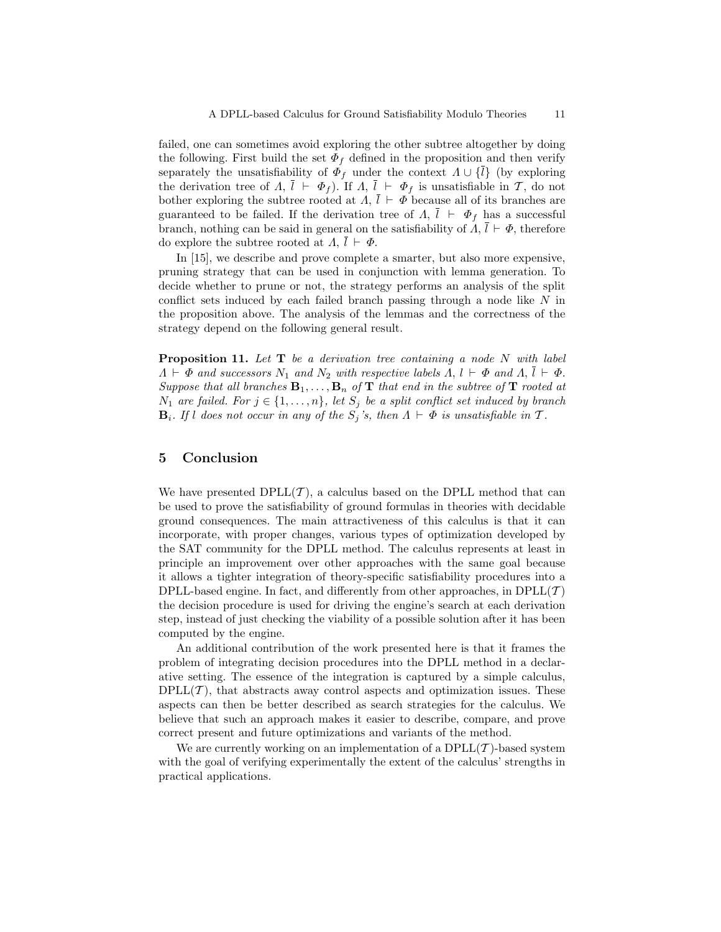failed, one can sometimes avoid exploring the other subtree altogether by doing the following. First build the set  $\Phi_f$  defined in the proposition and then verify separately the unsatisfiability of  $\Phi_f$  under the context  $\Lambda \cup \{l\}$  (by exploring the derivation tree of  $\Lambda$ ,  $\overline{l} \vdash \Phi_f$ . If  $\Lambda$ ,  $\overline{l} \vdash \Phi_f$  is unsatisfiable in T, do not bother exploring the subtree rooted at  $\Lambda$ ,  $\overline{l} \vdash \Phi$  because all of its branches are guaranteed to be failed. If the derivation tree of  $\Lambda$ ,  $\overline{l}$   $\vdash \Phi_f$  has a successful branch, nothing can be said in general on the satisfiability of  $\overline{\Lambda}$ ,  $\overline{l} \vdash \Phi$ , therefore do explore the subtree rooted at  $\Lambda$ ,  $\overline{l} \vdash \Phi$ .

In [15], we describe and prove complete a smarter, but also more expensive, pruning strategy that can be used in conjunction with lemma generation. To decide whether to prune or not, the strategy performs an analysis of the split conflict sets induced by each failed branch passing through a node like N in the proposition above. The analysis of the lemmas and the correctness of the strategy depend on the following general result.

**Proposition 11.** Let  $T$  be a derivation tree containing a node  $N$  with label  $\Lambda \vdash \Phi$  and successors  $N_1$  and  $N_2$  with respective labels  $\Lambda$ ,  $l \vdash \Phi$  and  $\Lambda$ ,  $l \vdash \Phi$ . Suppose that all branches  $B_1, \ldots, B_n$  of  $T$  that end in the subtree of  $T$  rooted at  $N_1$  are failed. For  $j \in \{1, \ldots, n\}$ , let  $S_j$  be a split conflict set induced by branch  $\mathbf{B}_i$ . If l does not occur in any of the  $S_j$ 's, then  $\Lambda \vdash \Phi$  is unsatisfiable in T.

## 5 Conclusion

We have presented  $DPLL(\mathcal{T})$ , a calculus based on the DPLL method that can be used to prove the satisfiability of ground formulas in theories with decidable ground consequences. The main attractiveness of this calculus is that it can incorporate, with proper changes, various types of optimization developed by the SAT community for the DPLL method. The calculus represents at least in principle an improvement over other approaches with the same goal because it allows a tighter integration of theory-specific satisfiability procedures into a DPLL-based engine. In fact, and differently from other approaches, in  $DPLL(\mathcal{T})$ the decision procedure is used for driving the engine's search at each derivation step, instead of just checking the viability of a possible solution after it has been computed by the engine.

An additional contribution of the work presented here is that it frames the problem of integrating decision procedures into the DPLL method in a declarative setting. The essence of the integration is captured by a simple calculus,  $DPLL(\mathcal{T})$ , that abstracts away control aspects and optimization issues. These aspects can then be better described as search strategies for the calculus. We believe that such an approach makes it easier to describe, compare, and prove correct present and future optimizations and variants of the method.

We are currently working on an implementation of a  $DPLL(\mathcal{T})$ -based system with the goal of verifying experimentally the extent of the calculus' strengths in practical applications.